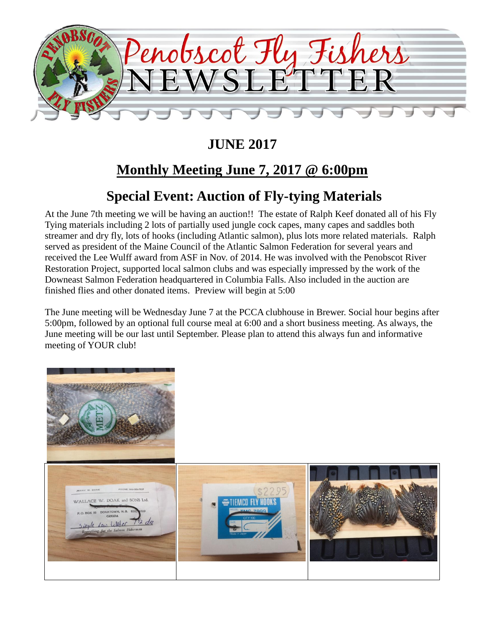

# **JUNE 2017**

# **Monthly Meeting June 7, 2017 @ 6:00pm**

# **Special Event: Auction of Fly-tying Materials**

At the June 7th meeting we will be having an auction!! The estate of Ralph Keef donated all of his Fly Tying materials including 2 lots of partially used jungle cock capes, many capes and saddles both streamer and dry fly, lots of hooks (including Atlantic salmon), plus lots more related materials. Ralph served as president of the Maine Council of the Atlantic Salmon Federation for several years and received the Lee Wulff award from ASF in Nov. of 2014. He was involved with the Penobscot River Restoration Project, supported local salmon clubs and was especially impressed by the work of the Downeast Salmon Federation headquartered in Columbia Falls. Also included in the auction are finished flies and other donated items. Preview will begin at 5:00

The June meeting will be Wednesday June 7 at the PCCA clubhouse in Brewer. Social hour begins after 5:00pm, followed by an optional full course meal at 6:00 and a short business meeting. As always, the June meeting will be our last until September. Please plan to attend this always fun and informative meeting of YOUR club!

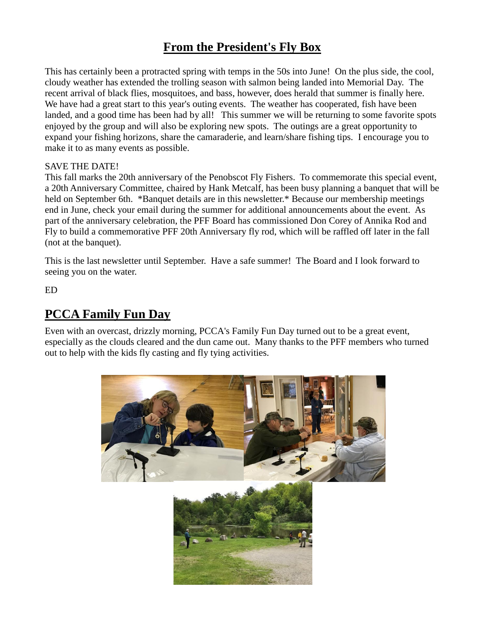### **From the President's Fly Box**

This has certainly been a protracted spring with temps in the 50s into June! On the plus side, the cool, cloudy weather has extended the trolling season with salmon being landed into Memorial Day. The recent arrival of black flies, mosquitoes, and bass, however, does herald that summer is finally here. We have had a great start to this year's outing events. The weather has cooperated, fish have been landed, and a good time has been had by all! This summer we will be returning to some favorite spots enjoyed by the group and will also be exploring new spots. The outings are a great opportunity to expand your fishing horizons, share the camaraderie, and learn/share fishing tips. I encourage you to make it to as many events as possible.

#### SAVE THE DATE!

This fall marks the 20th anniversary of the Penobscot Fly Fishers. To commemorate this special event, a 20th Anniversary Committee, chaired by Hank Metcalf, has been busy planning a banquet that will be held on September 6th. \*Banquet details are in this newsletter.\* Because our membership meetings end in June, check your email during the summer for additional announcements about the event. As part of the anniversary celebration, the PFF Board has commissioned Don Corey of Annika Rod and Fly to build a commemorative PFF 20th Anniversary fly rod, which will be raffled off later in the fall (not at the banquet).

This is the last newsletter until September. Have a safe summer! The Board and I look forward to seeing you on the water.

ED

### **PCCA Family Fun Day**

Even with an overcast, drizzly morning, PCCA's Family Fun Day turned out to be a great event, especially as the clouds cleared and the dun came out. Many thanks to the PFF members who turned out to help with the kids fly casting and fly tying activities.

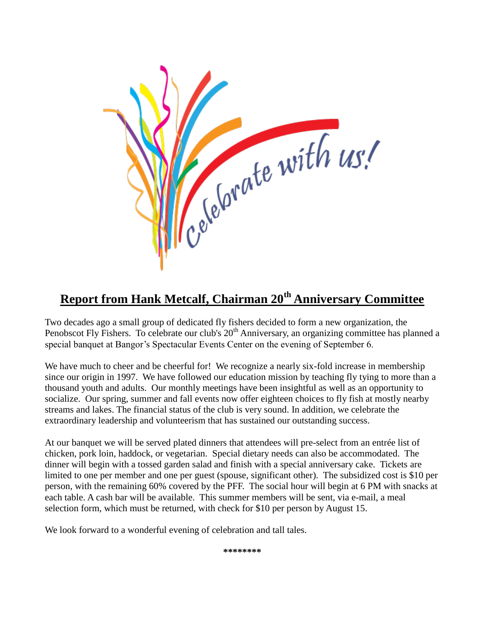

## **Report from Hank Metcalf, Chairman 20th Anniversary Committee**

Two decades ago a small group of dedicated fly fishers decided to form a new organization, the Penobscot Fly Fishers. To celebrate our club's 20<sup>th</sup> Anniversary, an organizing committee has planned a special banquet at Bangor's Spectacular Events Center on the evening of September 6.

We have much to cheer and be cheerful for! We recognize a nearly six-fold increase in membership since our origin in 1997. We have followed our education mission by teaching fly tying to more than a thousand youth and adults. Our monthly meetings have been insightful as well as an opportunity to socialize. Our spring, summer and fall events now offer eighteen choices to fly fish at mostly nearby streams and lakes. The financial status of the club is very sound. In addition, we celebrate the extraordinary leadership and volunteerism that has sustained our outstanding success.

At our banquet we will be served plated dinners that attendees will pre-select from an entrée list of chicken, pork loin, haddock, or vegetarian. Special dietary needs can also be accommodated. The dinner will begin with a tossed garden salad and finish with a special anniversary cake. Tickets are limited to one per member and one per guest (spouse, significant other). The subsidized cost is \$10 per person, with the remaining 60% covered by the PFF. The social hour will begin at 6 PM with snacks at each table. A cash bar will be available. This summer members will be sent, via e-mail, a meal selection form, which must be returned, with check for \$10 per person by August 15.

We look forward to a wonderful evening of celebration and tall tales.

**\*\*\*\*\*\*\*\***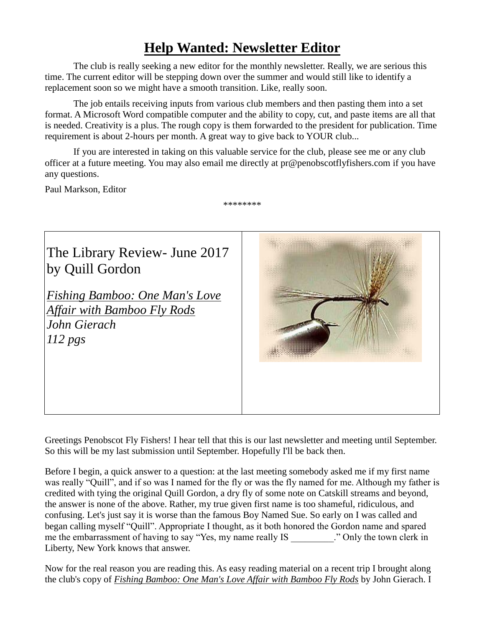## **Help Wanted: Newsletter Editor**

The club is really seeking a new editor for the monthly newsletter. Really, we are serious this time. The current editor will be stepping down over the summer and would still like to identify a replacement soon so we might have a smooth transition. Like, really soon.

The job entails receiving inputs from various club members and then pasting them into a set format. A Microsoft Word compatible computer and the ability to copy, cut, and paste items are all that is needed. Creativity is a plus. The rough copy is them forwarded to the president for publication. Time requirement is about 2-hours per month. A great way to give back to YOUR club...

If you are interested in taking on this valuable service for the club, please see me or any club officer at a future meeting. You may also email me directly at [pr@penobscotflyfishers.com](mailto:pr@penobscotflyfishers.com) if you have any questions.

Paul Markson, Editor

\*\*\*\*\*\*\*\*



Greetings Penobscot Fly Fishers! I hear tell that this is our last newsletter and meeting until September. So this will be my last submission until September. Hopefully I'll be back then.

Before I begin, a quick answer to a question: at the last meeting somebody asked me if my first name was really "Quill", and if so was I named for the fly or was the fly named for me. Although my father is credited with tying the original Quill Gordon, a dry fly of some note on Catskill streams and beyond, the answer is none of the above. Rather, my true given first name is too shameful, ridiculous, and confusing. Let's just say it is worse than the famous Boy Named Sue. So early on I was called and began calling myself "Quill". Appropriate I thought, as it both honored the Gordon name and spared me the embarrassment of having to say "Yes, my name really IS ... " Only the town clerk in Liberty, New York knows that answer.

Now for the real reason you are reading this. As easy reading material on a recent trip I brought along the club's copy of *Fishing Bamboo: One Man's Love Affair with Bamboo Fly Rods* by John Gierach. I